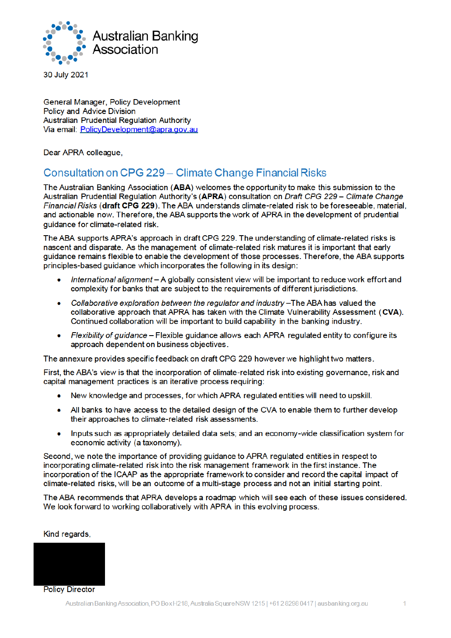

30 July 2021

General Manager, Policy Development Policy and Advice Division Australian Prudential Regulation Authority Via email: PolicyDevelopment@apra.gov.au

Dear APRA colleague,

# Consultation on CPG 229 – Climate Change Financial Risks

The Australian Banking Association (ABA) welcomes the opportunity to make this submission to the Australian Prudential Regulation Authority's (APRA) consultation on Draft CPG 229 - Climate Change Financial Risks (draft CPG 229). The ABA understands climate-related risk to be foreseeable, material, and actionable now. Therefore, the ABA supports the work of APRA in the development of prudential quidance for climate-related risk.

The ABA supports APRA's approach in draft CPG 229. The understanding of climate-related risks is nascent and disparate. As the management of climate-related risk matures it is important that early guidance remains flexible to enable the development of those processes. Therefore, the ABA supports principles-based guidance which incorporates the following in its design:

- International alignment A globally consistent view will be important to reduce work effort and complexity for banks that are subject to the requirements of different jurisdictions.
- Collaborative exploration between the regulator and industry -The ABA has valued the  $\bullet$ collaborative approach that APRA has taken with the Climate Vulnerability Assessment (CVA). Continued collaboration will be important to build capability in the banking industry.
- $\bullet$ Flexibility of guidance - Flexible guidance allows each APRA regulated entity to configure its approach dependent on business objectives.

The annexure provides specific feedback on draft CPG 229 however we highlight two matters.

First, the ABA's view is that the incorporation of climate-related risk into existing governance, risk and capital management practices is an iterative process requiring:

- New knowledge and processes, for which APRA regulated entities will need to upskill.  $\bullet$
- All banks to have access to the detailed design of the CVA to enable them to further develop  $\bullet$ their approaches to climate-related risk assessments.
- Inputs such as appropriately detailed data sets; and an economy-wide classification system for  $\bullet$ economic activity (a taxonomy).

Second, we note the importance of providing guidance to APRA regulated entities in respect to incorporating climate-related risk into the risk management framework in the first instance. The incorporation of the ICAAP as the appropriate framework to consider and record the capital impact of climate-related risks, will be an outcome of a multi-stage process and not an initial starting point.

The ABA recommends that APRA develops a roadmap which will see each of these issues considered. We look forward to working collaboratively with APRA in this evolving process.

Kind regards,

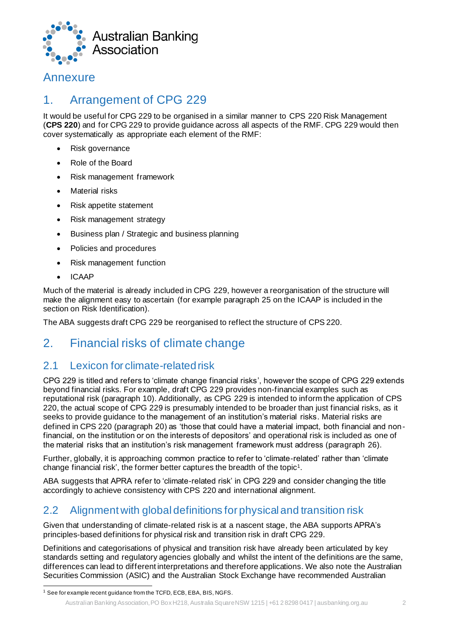

# Annexure

# 1. Arrangement of CPG 229

It would be useful for CPG 229 to be organised in a similar manner to CPS 220 Risk Management (**CPS 220**) and for CPG 229 to provide guidance across all aspects of the RMF. CPG 229 would then cover systematically as appropriate each element of the RMF:

- Risk governance
- Role of the Board
- Risk management framework
- Material risks
- Risk appetite statement
- Risk management strategy
- Business plan / Strategic and business planning
- Policies and procedures
- Risk management function
- ICAAP

Much of the material is already included in CPG 229, however a reorganisation of the structure will make the alignment easy to ascertain (for example paragraph 25 on the ICAAP is included in the section on Risk Identification).

The ABA suggests draft CPG 229 be reorganised to reflect the structure of CPS 220.

# 2. Financial risks of climate change

## 2.1 Lexicon for climate-related risk

CPG 229 is titled and refers to 'climate change financial risks', however the scope of CPG 229 extends beyond financial risks. For example, draft CPG 229 provides non-financial examples such as reputational risk (paragraph 10). Additionally, as CPG 229 is intended to inform the application of CPS 220, the actual scope of CPG 229 is presumably intended to be broader than just financial risks, as it seeks to provide guidance to the management of an institution's material risks. Material risks are defined in CPS 220 (paragraph 20) as 'those that could have a material impact, both financial and nonfinancial, on the institution or on the interests of depositors' and operational risk is included as one of the material risks that an institution's risk management framework must address (paragraph 26).

Further, globally, it is approaching common practice to refer to 'climate-related' rather than 'climate change financial risk', the former better captures the breadth of the topic<sup>1</sup>.

ABA suggests that APRA refer to 'climate-related risk' in CPG 229 and consider changing the title accordingly to achieve consistency with CPS 220 and international alignment.

# 2.2 Alignment with global definitions for physical and transition risk

Given that understanding of climate-related risk is at a nascent stage, the ABA supports APRA's principles-based definitions for physical risk and transition risk in draft CPG 229.

Definitions and categorisations of physical and transition risk have already been articulated by key standards setting and regulatory agencies globally and whilst the intent of the definitions are the same, differences can lead to different interpretations and therefore applications. We also note the Australian Securities Commission (ASIC) and the Australian Stock Exchange have recommended Australian

<sup>&</sup>lt;sup>1</sup> See for example recent guidance from the TCFD, ECB, EBA, BIS, NGFS.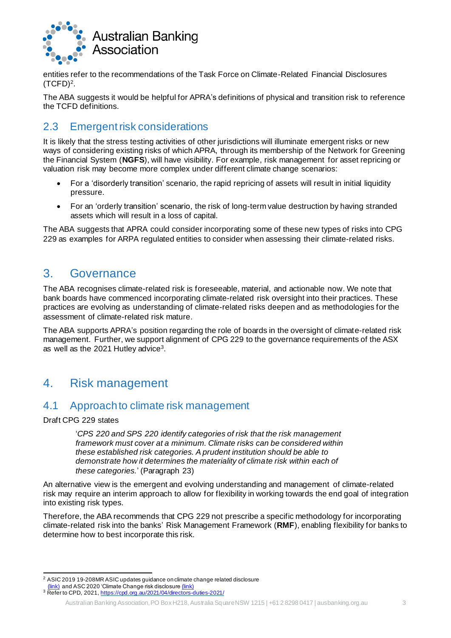

entities refer to the recommendations of the Task Force on Climate-Related Financial Disclosures (TCFD)<sup>2</sup> .

The ABA suggests it would be helpful for APRA's definitions of physical and transition risk to reference the TCFD definitions.

# 2.3 Emergent risk considerations

It is likely that the stress testing activities of other jurisdictions will illuminate emergent risks or new ways of considering existing risks of which APRA, through its membership of the Network for Greening the Financial System (**NGFS**), will have visibility. For example, risk management for asset repricing or valuation risk may become more complex under different climate change scenarios:

- For a 'disorderly transition' scenario, the rapid repricing of assets will result in initial liquidity pressure.
- For an 'orderly transition' scenario, the risk of long-term value destruction by having stranded assets which will result in a loss of capital.

The ABA suggests that APRA could consider incorporating some of these new types of risks into CPG 229 as examples for ARPA regulated entities to consider when assessing their climate-related risks.

# 3. Governance

The ABA recognises climate-related risk is foreseeable, material, and actionable now. We note that bank boards have commenced incorporating climate-related risk oversight into their practices. These practices are evolving as understanding of climate-related risks deepen and as methodologies for the assessment of climate-related risk mature.

The ABA supports APRA's position regarding the role of boards in the oversight of climate-related risk management. Further, we support alignment of CPG 229 to the governance requirements of the ASX as well as the 2021 Hutley advice $^{\rm 3}$ .

# 4. Risk management

### 4.1 Approach to climate risk management

Draft CPG 229 states

'*CPS 220 and SPS 220 identify categories of risk that the risk management framework must cover at a minimum. Climate risks can be considered within these established risk categories. A prudent institution should be able to demonstrate how it determines the materiality of climate risk within each of these categories.*' (Paragraph 23)

An alternative view is the emergent and evolving understanding and management of climate-related risk may require an interim approach to allow for flexibility in working towards the end goal of integration into existing risk types.

Therefore, the ABA recommends that CPG 229 not prescribe a specific methodology for incorporating climate-related risk into the banks' Risk Management Framework (**RMF**), enabling flexibility for banks to determine how to best incorporate this risk.

<sup>2</sup> ASIC 2019 19-208MR ASIC updates guidance on climate change related disclosure

<sup>. &</sup>lt;u>(link)</u> and ASC 2020 'Climate Change risk disclosure <u>(link)</u><br><sup>3</sup> Refer to CPD, 2021, <u>https://cpd.org.au/2021/04/directors-duties-2021/</u>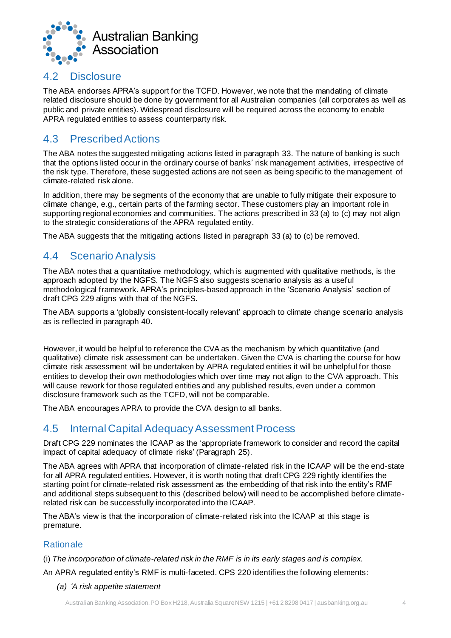

#### 4.2 Disclosure

The ABA endorses APRA's support for the TCFD. However, we note that the mandating of climate related disclosure should be done by government for all Australian companies (all corporates as well as public and private entities). Widespread disclosure will be required across the economy to enable APRA regulated entities to assess counterparty risk.

# 4.3 Prescribed Actions

The ABA notes the suggested mitigating actions listed in paragraph 33. The nature of banking is such that the options listed occur in the ordinary course of banks' risk management activities, irrespective of the risk type. Therefore, these suggested actions are not seen as being specific to the management of climate-related risk alone.

In addition, there may be segments of the economy that are unable to fully mitigate their exposure to climate change, e.g., certain parts of the farming sector. These customers play an important role in supporting regional economies and communities. The actions prescribed in 33 (a) to (c) may not align to the strategic considerations of the APRA regulated entity.

The ABA suggests that the mitigating actions listed in paragraph 33 (a) to (c) be removed.

### 4.4 Scenario Analysis

The ABA notes that a quantitative methodology, which is augmented with qualitative methods, is the approach adopted by the NGFS. The NGFS also suggests scenario analysis as a useful methodological framework. APRA's principles-based approach in the 'Scenario Analysis' section of draft CPG 229 aligns with that of the NGFS.

The ABA supports a 'globally consistent-locally relevant' approach to climate change scenario analysis as is reflected in paragraph 40.

However, it would be helpful to reference the CVA as the mechanism by which quantitative (and qualitative) climate risk assessment can be undertaken. Given the CVA is charting the course for how climate risk assessment will be undertaken by APRA regulated entities it will be unhelpful for those entities to develop their own methodologies which over time may not align to the CVA approach. This will cause rework for those regulated entities and any published results, even under a common disclosure framework such as the TCFD, will not be comparable.

The ABA encourages APRA to provide the CVA design to all banks.

## 4.5 Internal Capital Adequacy Assessment Process

Draft CPG 229 nominates the ICAAP as the 'appropriate framework to consider and record the capital impact of capital adequacy of climate risks' (Paragraph 25).

The ABA agrees with APRA that incorporation of climate-related risk in the ICAAP will be the end-state for all APRA regulated entities. However, it is worth noting that draft CPG 229 rightly identifies the starting point for climate-related risk assessment as the embedding of that risk into the entity's RMF and additional steps subsequent to this (described below) will need to be accomplished before climaterelated risk can be successfully incorporated into the ICAAP.

The ABA's view is that the incorporation of climate-related risk into the ICAAP at this stage is premature.

#### **Rationale**

(i) *The incorporation of climate-related risk in the RMF is in its early stages and is complex.*

An APRA regulated entity's RMF is multi-faceted. CPS 220 identifies the following elements:

*(a) 'A risk appetite statement*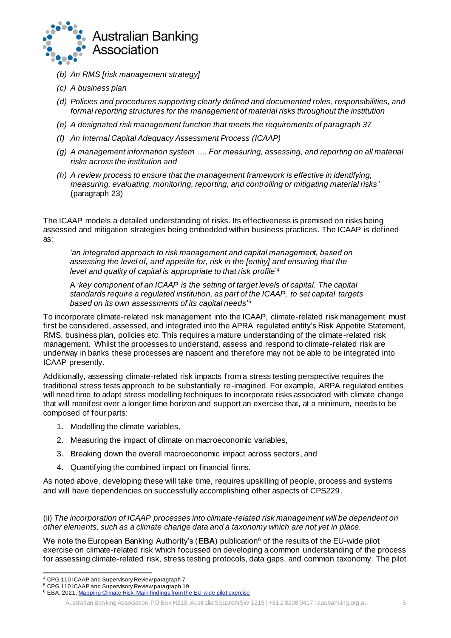

- *(b) An RMS [risk management strategy]*
- *(c) A business plan*
- *(d) Policies and procedures supporting clearly defined and documented roles, responsibilities, and formal reporting structures for the management of material risks throughout the institution*
- *(e) A designated risk management function that meets the requirements of paragraph 37*
- *(f) An Internal Capital Adequacy Assessment Process (ICAAP)*
- *(g) A management information system …. For measuring, assessing, and reporting on all material risks across the institution and*
- *(h) A review process to ensure that the management framework is effective in identifying, measuring, evaluating, monitoring, reporting, and controlling or mitigating material risks '* (paragraph 23)

The ICAAP models a detailed understanding of risks. Its effectiveness is premised on risks being assessed and mitigation strategies being embedded within business practices. The ICAAP is defined as:

*'an integrated approach to risk management and capital management, based on assessing the level of, and appetite for, risk in the [entity] and ensuring that the level and quality of capital is appropriate to that risk profile*' 4

A '*key component of an ICAAP is the setting of target levels of capital. The capital standards require a regulated institution, as part of the ICAAP, to set capital targets based on its own assessments of its capital needs*' 5

To incorporate climate-related risk management into the ICAAP, climate-related risk management must first be considered, assessed, and integrated into the APRA regulated entity's Risk Appetite Statement, RMS, business plan, policies etc. This requires a mature understanding of the climate-related risk management. Whilst the processes to understand, assess and respond to climate-related risk are underway in banks these processes are nascent and therefore may not be able to be integrated into ICAAP presently.

Additionally, assessing climate-related risk impacts from a stress testing perspective requires the traditional stress tests approach to be substantially re-imagined. For example, ARPA regulated entities will need time to adapt stress modelling techniques to incorporate risks associated with climate change that will manifest over a longer time horizon and support an exercise that, at a minimum, needs to be composed of four parts:

- 1. Modelling the climate variables,
- 2. Measuring the impact of climate on macroeconomic variables,
- 3. Breaking down the overall macroeconomic impact across sectors, and
- 4. Quantifying the combined impact on financial firms.

As noted above, developing these will take time, requires upskilling of people, process and systems and will have dependencies on successfully accomplishing other aspects of CPS229.

#### (ii) *The incorporation of ICAAP processes into climate-related risk management will be dependent on other elements, such as a climate change data and a taxonomy which are not yet in place.*

We note the European Banking Authority's (**EBA**) publication<sup>6</sup> of the results of the EU-wide pilot exercise on climate-related risk which focussed on developing a common understanding of the process for assessing climate-related risk, stress testing protocols, data gaps, and common taxonomy. The pilot

<sup>4</sup> CPG 110 ICAAP and Supervisory Review paragraph 7

<sup>5</sup> CPG 110 ICAAP and Supervisory Review paragraph 19

<sup>&</sup>lt;sup>6</sup> EBA, 2021, Mapping Climate Risk: Main findings from the EU-wide pilot exercise